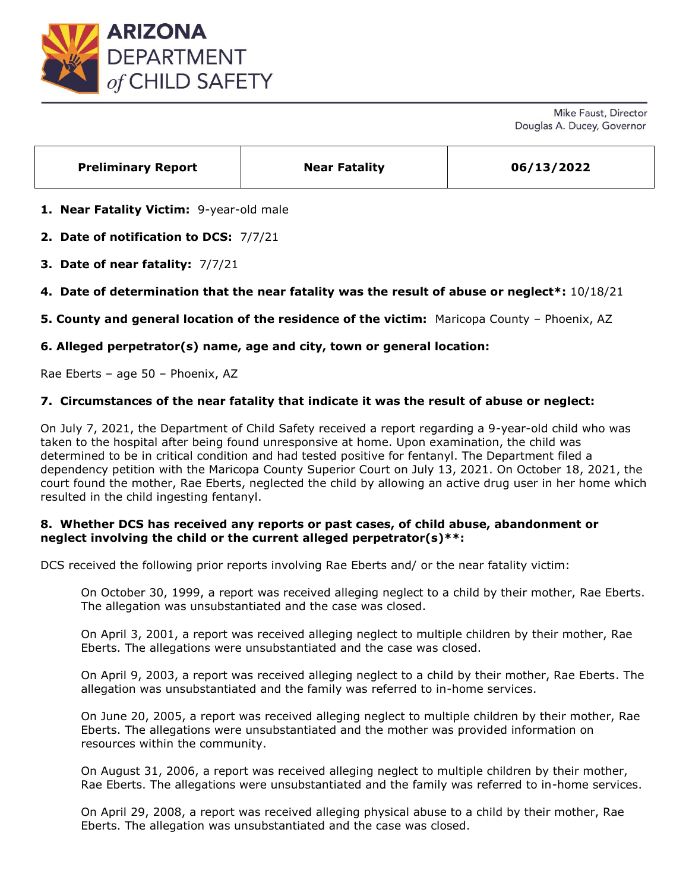

Mike Faust, Director Douglas A. Ducey, Governor

| <b>Preliminary Report</b> | <b>Near Fatality</b> | 06/13/2022 |
|---------------------------|----------------------|------------|
|                           |                      |            |

**1. Near Fatality Victim:** 9-year-old male

**2. Date of notification to DCS:** 7/7/21

**3. Date of near fatality:** 7/7/21

**4. Date of determination that the near fatality was the result of abuse or neglect\*:** 10/18/21

**5. County and general location of the residence of the victim:** Maricopa County – Phoenix, AZ

# **6. Alleged perpetrator(s) name, age and city, town or general location:**

Rae Eberts – age 50 – Phoenix, AZ

## **7. Circumstances of the near fatality that indicate it was the result of abuse or neglect:**

On July 7, 2021, the Department of Child Safety received a report regarding a 9-year-old child who was taken to the hospital after being found unresponsive at home. Upon examination, the child was determined to be in critical condition and had tested positive for fentanyl. The Department filed a dependency petition with the Maricopa County Superior Court on July 13, 2021. On October 18, 2021, the court found the mother, Rae Eberts, neglected the child by allowing an active drug user in her home which resulted in the child ingesting fentanyl.

# **8. Whether DCS has received any reports or past cases, of child abuse, abandonment or neglect involving the child or the current alleged perpetrator(s)\*\*:**

DCS received the following prior reports involving Rae Eberts and/ or the near fatality victim:

On October 30, 1999, a report was received alleging neglect to a child by their mother, Rae Eberts. The allegation was unsubstantiated and the case was closed.

On April 3, 2001, a report was received alleging neglect to multiple children by their mother, Rae Eberts. The allegations were unsubstantiated and the case was closed.

On April 9, 2003, a report was received alleging neglect to a child by their mother, Rae Eberts. The allegation was unsubstantiated and the family was referred to in-home services.

On June 20, 2005, a report was received alleging neglect to multiple children by their mother, Rae Eberts. The allegations were unsubstantiated and the mother was provided information on resources within the community.

On August 31, 2006, a report was received alleging neglect to multiple children by their mother, Rae Eberts. The allegations were unsubstantiated and the family was referred to in-home services.

On April 29, 2008, a report was received alleging physical abuse to a child by their mother, Rae Eberts. The allegation was unsubstantiated and the case was closed.